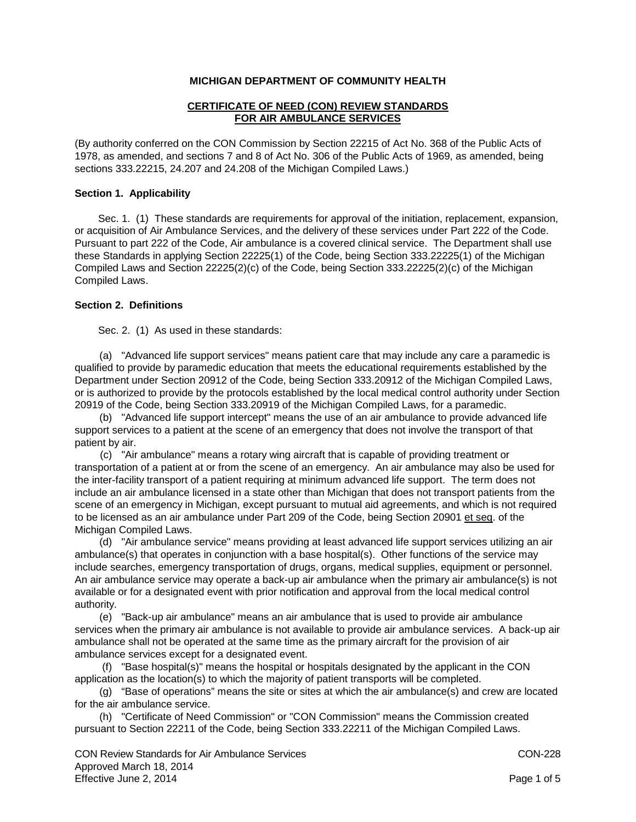# **MICHIGAN DEPARTMENT OF COMMUNITY HEALTH**

## **CERTIFICATE OF NEED (CON) REVIEW STANDARDS FOR AIR AMBULANCE SERVICES**

(By authority conferred on the CON Commission by Section 22215 of Act No. 368 of the Public Acts of 1978, as amended, and sections 7 and 8 of Act No. 306 of the Public Acts of 1969, as amended, being sections 333.22215, 24.207 and 24.208 of the Michigan Compiled Laws.)

### **Section 1. Applicability**

Sec. 1. (1) These standards are requirements for approval of the initiation, replacement, expansion, or acquisition of Air Ambulance Services, and the delivery of these services under Part 222 of the Code. Pursuant to part 222 of the Code, Air ambulance is a covered clinical service. The Department shall use these Standards in applying Section 22225(1) of the Code, being Section 333.22225(1) of the Michigan Compiled Laws and Section 22225(2)(c) of the Code, being Section 333.22225(2)(c) of the Michigan Compiled Laws.

### **Section 2. Definitions**

Sec. 2. (1) As used in these standards:

(a) "Advanced life support services" means patient care that may include any care a paramedic is qualified to provide by paramedic education that meets the educational requirements established by the Department under Section 20912 of the Code, being Section 333.20912 of the Michigan Compiled Laws, or is authorized to provide by the protocols established by the local medical control authority under Section 20919 of the Code, being Section 333.20919 of the Michigan Compiled Laws, for a paramedic.

(b) "Advanced life support intercept" means the use of an air ambulance to provide advanced life support services to a patient at the scene of an emergency that does not involve the transport of that patient by air.

(c) "Air ambulance" means a rotary wing aircraft that is capable of providing treatment or transportation of a patient at or from the scene of an emergency. An air ambulance may also be used for the inter-facility transport of a patient requiring at minimum advanced life support. The term does not include an air ambulance licensed in a state other than Michigan that does not transport patients from the scene of an emergency in Michigan, except pursuant to mutual aid agreements, and which is not required to be licensed as an air ambulance under Part 209 of the Code, being Section 20901 et seq. of the Michigan Compiled Laws.

(d) "Air ambulance service" means providing at least advanced life support services utilizing an air ambulance(s) that operates in conjunction with a base hospital(s). Other functions of the service may include searches, emergency transportation of drugs, organs, medical supplies, equipment or personnel. An air ambulance service may operate a back-up air ambulance when the primary air ambulance(s) is not available or for a designated event with prior notification and approval from the local medical control authority.

(e) "Back-up air ambulance" means an air ambulance that is used to provide air ambulance services when the primary air ambulance is not available to provide air ambulance services. A back-up air ambulance shall not be operated at the same time as the primary aircraft for the provision of air ambulance services except for a designated event.

(f) "Base hospital(s)" means the hospital or hospitals designated by the applicant in the CON application as the location(s) to which the majority of patient transports will be completed.

(g) "Base of operations" means the site or sites at which the air ambulance(s) and crew are located for the air ambulance service.

(h) "Certificate of Need Commission" or "CON Commission" means the Commission created pursuant to Section 22211 of the Code, being Section 333.22211 of the Michigan Compiled Laws.

CON Review Standards for Air Ambulance Services CON-228 Approved March 18, 2014 Effective June 2, 2014 **Page 1 of 5** and 2, 2014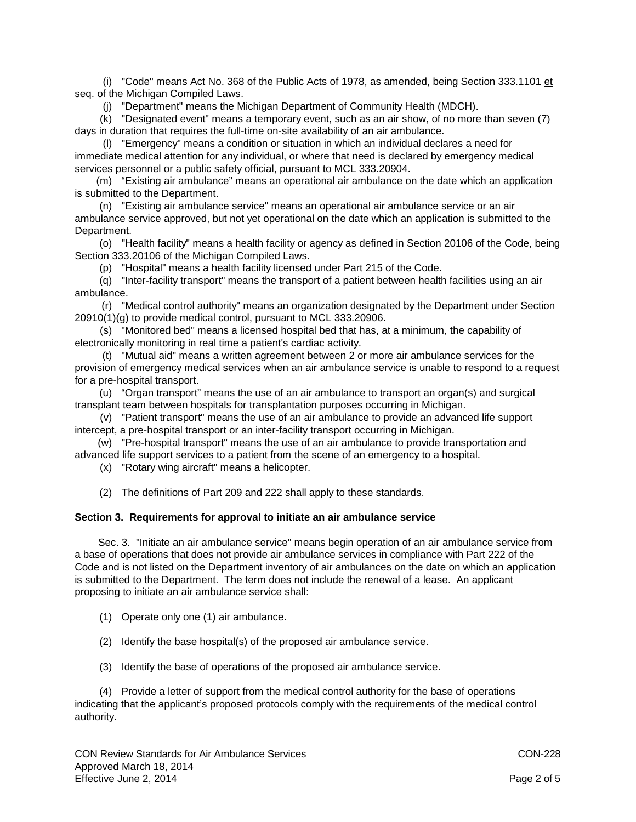(i) "Code" means Act No. 368 of the Public Acts of 1978, as amended, being Section 333.1101 et seq. of the Michigan Compiled Laws.

(j) "Department" means the Michigan Department of Community Health (MDCH).

(k) "Designated event" means a temporary event, such as an air show, of no more than seven (7) days in duration that requires the full-time on-site availability of an air ambulance.

(l) "Emergency" means a condition or situation in which an individual declares a need for immediate medical attention for any individual, or where that need is declared by emergency medical services personnel or a public safety official, pursuant to MCL 333.20904.

(m) "Existing air ambulance" means an operational air ambulance on the date which an application is submitted to the Department.

(n) "Existing air ambulance service" means an operational air ambulance service or an air ambulance service approved, but not yet operational on the date which an application is submitted to the Department.

(o) "Health facility" means a health facility or agency as defined in Section 20106 of the Code, being Section 333.20106 of the Michigan Compiled Laws.

(p) "Hospital" means a health facility licensed under Part 215 of the Code.

(q) "Inter-facility transport" means the transport of a patient between health facilities using an air ambulance.

(r) "Medical control authority" means an organization designated by the Department under Section 20910(1)(g) to provide medical control, pursuant to MCL 333.20906.

(s) "Monitored bed" means a licensed hospital bed that has, at a minimum, the capability of electronically monitoring in real time a patient's cardiac activity.

(t) "Mutual aid" means a written agreement between 2 or more air ambulance services for the provision of emergency medical services when an air ambulance service is unable to respond to a request for a pre-hospital transport.

(u) "Organ transport" means the use of an air ambulance to transport an organ(s) and surgical transplant team between hospitals for transplantation purposes occurring in Michigan.

(v) "Patient transport" means the use of an air ambulance to provide an advanced life support intercept, a pre-hospital transport or an inter-facility transport occurring in Michigan.

(w) "Pre-hospital transport" means the use of an air ambulance to provide transportation and advanced life support services to a patient from the scene of an emergency to a hospital.

(x) "Rotary wing aircraft" means a helicopter.

(2) The definitions of Part 209 and 222 shall apply to these standards.

### **Section 3. Requirements for approval to initiate an air ambulance service**

Sec. 3. "Initiate an air ambulance service" means begin operation of an air ambulance service from a base of operations that does not provide air ambulance services in compliance with Part 222 of the Code and is not listed on the Department inventory of air ambulances on the date on which an application is submitted to the Department. The term does not include the renewal of a lease. An applicant proposing to initiate an air ambulance service shall:

- (1) Operate only one (1) air ambulance.
- (2) Identify the base hospital(s) of the proposed air ambulance service.
- (3) Identify the base of operations of the proposed air ambulance service.

(4) Provide a letter of support from the medical control authority for the base of operations indicating that the applicant's proposed protocols comply with the requirements of the medical control authority.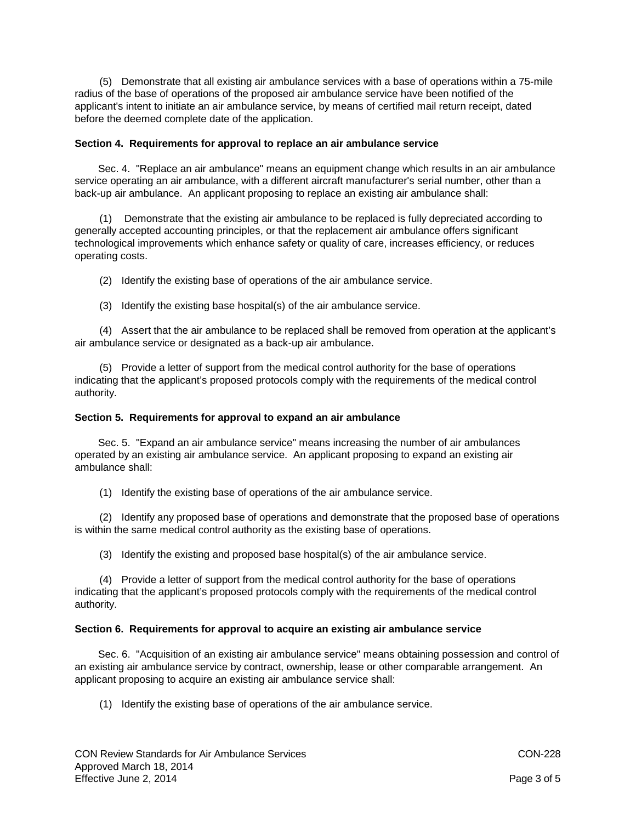(5) Demonstrate that all existing air ambulance services with a base of operations within a 75-mile radius of the base of operations of the proposed air ambulance service have been notified of the applicant's intent to initiate an air ambulance service, by means of certified mail return receipt, dated before the deemed complete date of the application.

## **Section 4. Requirements for approval to replace an air ambulance service**

Sec. 4. "Replace an air ambulance" means an equipment change which results in an air ambulance service operating an air ambulance, with a different aircraft manufacturer's serial number, other than a back-up air ambulance. An applicant proposing to replace an existing air ambulance shall:

(1) Demonstrate that the existing air ambulance to be replaced is fully depreciated according to generally accepted accounting principles, or that the replacement air ambulance offers significant technological improvements which enhance safety or quality of care, increases efficiency, or reduces operating costs.

(2) Identify the existing base of operations of the air ambulance service.

(3) Identify the existing base hospital(s) of the air ambulance service.

(4) Assert that the air ambulance to be replaced shall be removed from operation at the applicant's air ambulance service or designated as a back-up air ambulance.

(5) Provide a letter of support from the medical control authority for the base of operations indicating that the applicant's proposed protocols comply with the requirements of the medical control authority.

## **Section 5. Requirements for approval to expand an air ambulance**

Sec. 5. "Expand an air ambulance service" means increasing the number of air ambulances operated by an existing air ambulance service. An applicant proposing to expand an existing air ambulance shall:

(1) Identify the existing base of operations of the air ambulance service.

(2) Identify any proposed base of operations and demonstrate that the proposed base of operations is within the same medical control authority as the existing base of operations.

(3) Identify the existing and proposed base hospital(s) of the air ambulance service.

(4) Provide a letter of support from the medical control authority for the base of operations indicating that the applicant's proposed protocols comply with the requirements of the medical control authority.

### **Section 6. Requirements for approval to acquire an existing air ambulance service**

Sec. 6. "Acquisition of an existing air ambulance service" means obtaining possession and control of an existing air ambulance service by contract, ownership, lease or other comparable arrangement. An applicant proposing to acquire an existing air ambulance service shall:

(1) Identify the existing base of operations of the air ambulance service.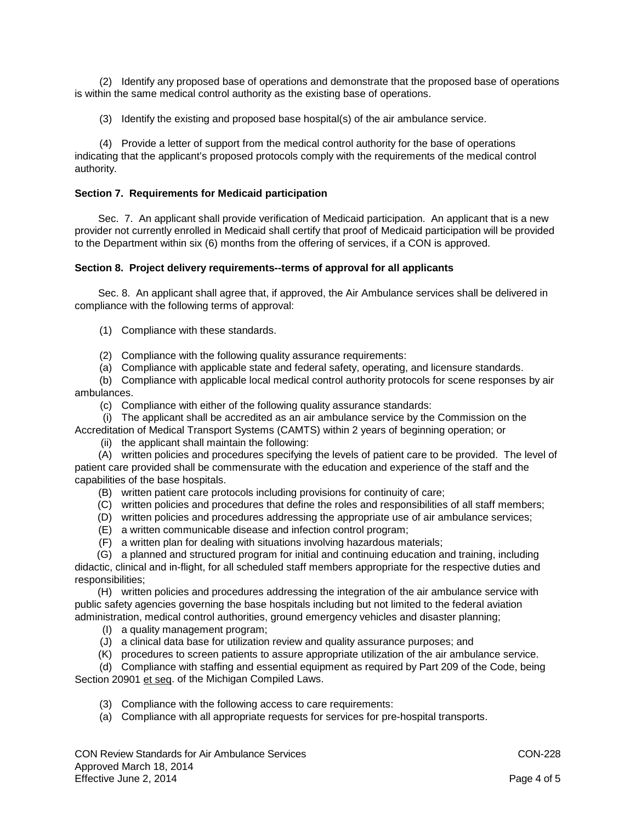(2) Identify any proposed base of operations and demonstrate that the proposed base of operations is within the same medical control authority as the existing base of operations.

(3) Identify the existing and proposed base hospital(s) of the air ambulance service.

(4) Provide a letter of support from the medical control authority for the base of operations indicating that the applicant's proposed protocols comply with the requirements of the medical control authority.

# **Section 7. Requirements for Medicaid participation**

Sec. 7. An applicant shall provide verification of Medicaid participation. An applicant that is a new provider not currently enrolled in Medicaid shall certify that proof of Medicaid participation will be provided to the Department within six (6) months from the offering of services, if a CON is approved.

## **Section 8. Project delivery requirements--terms of approval for all applicants**

Sec. 8. An applicant shall agree that, if approved, the Air Ambulance services shall be delivered in compliance with the following terms of approval:

- (1) Compliance with these standards.
- (2) Compliance with the following quality assurance requirements:
- (a) Compliance with applicable state and federal safety, operating, and licensure standards.

(b) Compliance with applicable local medical control authority protocols for scene responses by air ambulances.

(c) Compliance with either of the following quality assurance standards:

(i) The applicant shall be accredited as an air ambulance service by the Commission on the

Accreditation of Medical Transport Systems (CAMTS) within 2 years of beginning operation; or (ii) the applicant shall maintain the following:

(A) written policies and procedures specifying the levels of patient care to be provided. The level of patient care provided shall be commensurate with the education and experience of the staff and the capabilities of the base hospitals.

- (B) written patient care protocols including provisions for continuity of care;
- (C) written policies and procedures that define the roles and responsibilities of all staff members;
- (D) written policies and procedures addressing the appropriate use of air ambulance services;
- (E) a written communicable disease and infection control program;
- (F) a written plan for dealing with situations involving hazardous materials;

(G) a planned and structured program for initial and continuing education and training, including didactic, clinical and in-flight, for all scheduled staff members appropriate for the respective duties and responsibilities;

(H) written policies and procedures addressing the integration of the air ambulance service with public safety agencies governing the base hospitals including but not limited to the federal aviation administration, medical control authorities, ground emergency vehicles and disaster planning;

- (I) a quality management program;
- (J) a clinical data base for utilization review and quality assurance purposes; and
- (K) procedures to screen patients to assure appropriate utilization of the air ambulance service.

(d) Compliance with staffing and essential equipment as required by Part 209 of the Code, being Section 20901 et seq. of the Michigan Compiled Laws.

- (3) Compliance with the following access to care requirements:
- (a) Compliance with all appropriate requests for services for pre-hospital transports.